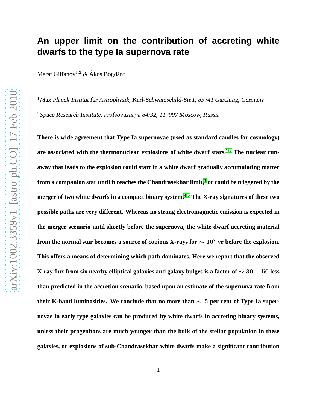## **An upper limit on the contribution of accreting white dwarfs to the type Ia supernova rate**

Marat Gilfanov<sup>1,2</sup> & Ákos Bogdán<sup>1</sup>

 $1$ Max Planck Institut für Astrophysik, Karl-Schwarzschild-Str.1, 85741 Garching, Germany <sup>2</sup>Space Research Institute, Profsoyuznaya 84/32, 117997 Moscow, Russia

**There is wide agreement that Type Ia supernovae (used as standard candles for cosmology) are associated with the thermonuclear explosions of white dwarf stars.[1,](#page-5-0) [2](#page-5-1) The nuclear runaway that leads to the explosion could start in a white dwarf gradually accumulating matter from a companion star until it reaches the Chandrasekhar limit,[3](#page-5-2) or could be triggered by the merger of two white dwarfs in a compact binary system.[4,](#page-5-3) [5](#page-5-4) The X-ray signatures of these two possible paths are very different. Whereas no strong electromagnetic emission is expected in the merger scenario until shortly before the supernova, the white dwarf accreting material** from the normal star becomes a source of copious X-rays for  $\sim 10^7$  yr before the explosion. **This offers a means of determining which path dominates. Here we report that the observed X-ray flux from six nearby elliptical galaxies and galaxy bulges is a factor of** ∼ 30 − 50 **less than predicted in the accretion scenario, based upon an estimate of the supernova rate from** their K-band luminosities. We conclude that no more than  $\sim$  5 per cent of Type Ia super**novae in early type galaxies can be produced by white dwarfs in accreting binary systems, unless their progenitors are much younger than the bulk of the stellar population in these galaxies, or explosions of sub-Chandrasekhar white dwarfs make a significant contribution**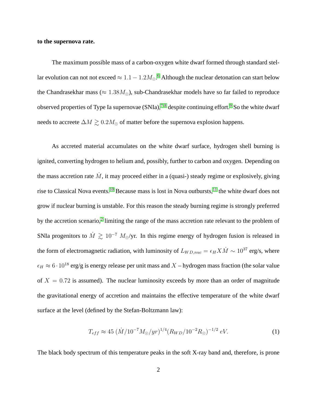## **to the supernova rate.**

The maximum possible mass of a carbon-oxygen white dwarf formed through standard stellar evolution can not not exceed  $\approx 1.1 - 1.2 M_{\odot}$ .<sup>[6](#page-6-0)</sup> Although the nuclear detonation can start below the Chandrasekhar mass ( $\approx 1.38M_{\odot}$ ), sub-Chandrasekhar models have so far failed to reproduce observed properties of Type Ia supernovae  $(SNIa)$ ,<sup>[7,](#page-6-1)8</sup> despite continuing effort.<sup>[9](#page-6-3)</sup> So the white dwarf needs to accreete  $\Delta M \gtrsim 0.2 M_{\odot}$  of matter before the supernova explosion happens.

As accreted material accumulates on the white dwarf surface, hydrogen shell burning is ignited, converting hydrogen to helium and, possibly, further to carbon and oxygen. Depending on the mass accretion rate  $\dot{M}$ , it may proceed either in a (quasi-) steady regime or explosively, giving rise to Classical Nova events.<sup>[10](#page-6-4)</sup> Because mass is lost in Nova outbursts,<sup>[11](#page-6-5)</sup> the white dwarf does not grow if nuclear burning is unstable. For this reason the steady burning regime is strongly preferred by the accretion scenario,<sup>[2](#page-5-1)</sup> limiting the range of the mass accretion rate relevant to the problem of SNIa progenitors to  $\dot{M} \gtrsim 10^{-7} M_{\odot}/yr$ . In this regime energy of hydrogen fusion is released in the form of electromagnetic radiation, with luminosity of  $L_{WD,nuc} = \epsilon_H X \dot{M} \sim 10^{37}$  erg/s, where  $\epsilon_H \approx 6 \cdot 10^{18}$  erg/g is energy release per unit mass and X – hydrogen mass fraction (the solar value of  $X = 0.72$  is assumed). The nuclear luminosity exceeds by more than an order of magnitude the gravitational energy of accretion and maintains the effective temperature of the white dwarf surface at the level (defined by the Stefan-Boltzmann law):

<span id="page-1-0"></span>
$$
T_{eff} \approx 45 \; (\dot{M}/10^{-7} M_{\odot}/yr)^{1/4} (R_{WD}/10^{-2} R_{\odot})^{-1/2} \; eV. \tag{1}
$$

The black body spectrum of this temperature peaks in the soft X-ray band and, therefore, is prone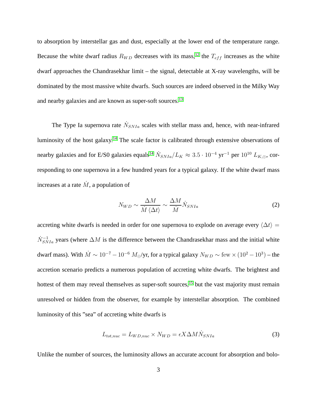to absorption by interstellar gas and dust, especially at the lower end of the temperature range. Because the white dwarf radius  $R_{WD}$  decreases with its mass,<sup>[12](#page-6-6)</sup> the  $T_{eff}$  increases as the white dwarf approaches the Chandrasekhar limit – the signal, detectable at X-ray wavelengths, will be dominated by the most massive white dwarfs. Such sources are indeed observed in the Milky Way and nearby galaxies and are known as super-soft sources.<sup>[13](#page-6-7)</sup>

The Type Ia supernova rate  $\dot{N}_{SNIa}$  scales with stellar mass and, hence, with near-infrared luminosity of the host galaxy.[14](#page-6-8) The scale factor is calibrated through extensive observations of nearby galaxies and for E/S0 galaxies equals<sup>[14](#page-6-8)</sup>  $\dot{N}_{SNIa}/L_K \approx 3.5 \cdot 10^{-4}$  yr<sup>-1</sup> per  $10^{10}$   $L_{K,\odot}$ , corresponding to one supernova in a few hundred years for a typical galaxy. If the white dwarf mass increases at a rate  $\dot{M}$ , a population of

$$
N_{WD} \sim \frac{\Delta M}{\dot{M}\left\langle\Delta t\right\rangle} \sim \frac{\Delta M}{\dot{M}} \dot{N}_{SNIa} \tag{2}
$$

accreting white dwarfs is needed in order for one supernova to explode on average every  $\langle \Delta t \rangle =$  $\dot{N}_{SNIa}^{-1}$  years (where  $\Delta M$  is the difference between the Chandrasekhar mass and the initial white dwarf mass). With  $\dot{M} \sim 10^{-7} - 10^{-6}$   $M_{\odot}/yr$ , for a typical galaxy  $N_{WD} \sim \text{few} \times (10^2 - 10^3)$  – the accretion scenario predicts a numerous population of accreting white dwarfs. The brightest and hottest of them may reveal themselves as super-soft sources,<sup>[15](#page-7-0)</sup> but the vast majority must remain unresolved or hidden from the observer, for example by interstellar absorption. The combined luminosity of this "sea" of accreting white dwarfs is

$$
L_{tot,nuc} = L_{WD,nuc} \times N_{WD} = \epsilon X \Delta M \dot{N}_{SNIa}
$$
\n(3)

Unlike the number of sources, the luminosity allows an accurate account for absorption and bolo-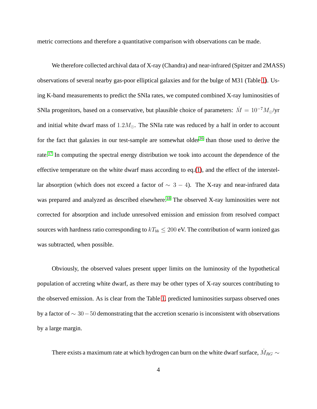metric corrections and therefore a quantitative comparison with observations can be made.

We therefore collected archival data of X-ray (Chandra) and near-infrared (Spitzer and 2MASS) observations of several nearby gas-poor elliptical galaxies and for the bulge of M31 (Table [1\)](#page-9-0). Using K-band measurements to predict the SNIa rates, we computed combined X-ray luminosities of SNIa progenitors, based on a conservative, but plausible choice of parameters:  $\dot{M} = 10^{-7} M_{\odot}/\text{yr}$ and initial white dwarf mass of  $1.2M_{\odot}$ . The SNIa rate was reduced by a half in order to account for the fact that galaxies in our test-sample are somewhat older<sup>[16](#page-7-1)</sup> than those used to derive the rate.<sup>[17](#page-7-2)</sup> In computing the spectral energy distribution we took into account the dependence of the effective temperature on the white dwarf mass according to eq.[\(1\)](#page-1-0), and the effect of the interstellar absorption (which does not exceed a factor of  $\sim$  3 − 4). The X-ray and near-infrared data was prepared and analyzed as described elsewhere.<sup>[18](#page-7-3)</sup> The observed X-ray luminosities were not corrected for absorption and include unresolved emission and emission from resolved compact sources with hardness ratio corresponding to  $kT_{bb} \leq 200$  eV. The contribution of warm ionized gas was subtracted, when possible.

Obviously, the observed values present upper limits on the luminosity of the hypothetical population of accreting white dwarf, as there may be other types of X-ray sources contributing to the observed emission. As is clear from the Table [1,](#page-9-0) predicted luminosities surpass observed ones by a factor of ∼ 30−50 demonstrating that the accretion scenario is inconsistent with observations by a large margin.

There exists a maximum rate at which hydrogen can burn on the white dwarf surface,  $\dot{M}_{RG} \sim$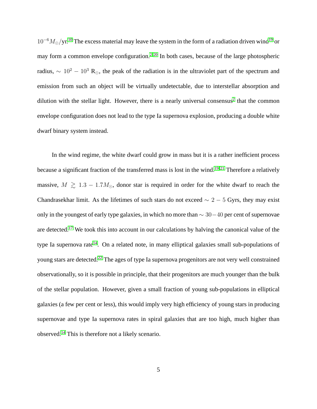$10^{-6}M_{\odot}/\text{yr}^{10}$  $10^{-6}M_{\odot}/\text{yr}^{10}$  The excess material may leave the system in the form of a radiation driven wind<sup>[19](#page-7-4)</sup> or may form a common envelope configuration.<sup>[2,](#page-5-1) [20](#page-7-5)</sup> In both cases, because of the large photospheric radius,  $\sim 10^2 - 10^3$  R<sub>⊙</sub>, the peak of the radiation is in the ultraviolet part of the spectrum and emission from such an object will be virtually undetectable, due to interstellar absorption and dilution with the stellar light. However, there is a nearly universal consensus<sup>[2](#page-5-1)</sup> that the common envelope configuration does not lead to the type Ia supernova explosion, producing a double white dwarf binary system instead.

In the wind regime, the white dwarf could grow in mass but it is a rather inefficient process because a significant fraction of the transferred mass is lost in the wind.<sup>[19,](#page-7-4)21</sup> Therefore a relatively massive,  $M \ge 1.3 - 1.7 M_{\odot}$ , donor star is required in order for the white dwarf to reach the Chandrasekhar limit. As the lifetimes of such stars do not exceed  $\sim$  2 − 5 Gyrs, they may exist only in the youngest of early type galaxies, in which no more than  $\sim 30-40$  per cent of supernovae are detected.[17](#page-7-2) We took this into account in our calculations by halving the canonical value of the type Ia supernova rate<sup>[14](#page-6-8)</sup>. On a related note, in many elliptical galaxies small sub-populations of young stars are detected.[22](#page-7-7) The ages of type Ia supernova progenitors are not very well constrained observationally, so it is possible in principle, that their progenitors are much younger than the bulk of the stellar population. However, given a small fraction of young sub-populations in elliptical galaxies (a few per cent or less), this would imply very high efficiency of young stars in producing supernovae and type Ia supernova rates in spiral galaxies that are too high, much higher than observed.[14](#page-6-8) This is therefore not a likely scenario.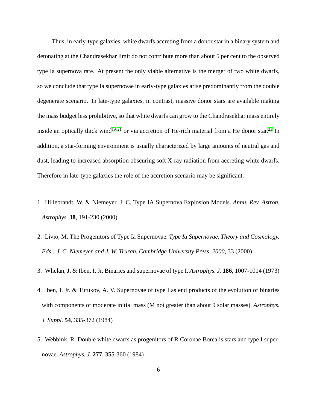Thus, in early-type galaxies, white dwarfs accreting from a donor star in a binary system and detonating at the Chandrasekhar limit do not contribute more than about 5 per cent to the observed type Ia supernova rate. At present the only viable alternative is the merger of two white dwarfs, so we conclude that type Ia supernovae in early-type galaxies arise predominantly from the double degenerate scenario. In late-type galaxies, in contrast, massive donor stars are available making the mass budget less prohibitive, so that white dwarfs can grow to the Chandrasekhar mass entirely inside an optically thick wind<sup>[19,](#page-7-4) [21](#page-7-6)</sup> or via accretion of He-rich material from a He donor star.<sup>[23](#page-7-8)</sup> In addition, a star-forming environment is usually characterized by large amounts of neutral gas and dust, leading to increased absorption obscuring soft X-ray radiation from accreting white dwarfs. Therefore in late-type galaxies the role of the accretion scenario may be significant.

- <span id="page-5-1"></span><span id="page-5-0"></span>1. Hillebrandt, W. & Niemeyer, J. C. Type IA Supernova Explosion Models. *Annu. Rev. Astron. Astrophys.* **38**, 191-230 (2000)
- <span id="page-5-2"></span>2. Livio, M. The Progenitors of Type Ia Supernovae. *Type Ia Supernovae, Theory and Cosmology. Eds.: J. C. Niemeyer and J. W. Truran. Cambridge University Press, 2000*, 33 (2000)
- <span id="page-5-3"></span>3. Whelan, J. & Iben, I. Jr. Binaries and supernovae of type I. *Astrophys. J.* **186**, 1007-1014 (1973)
- 4. Iben, I. Jr. & Tutukov, A. V. Supernovae of type I as end products of the evolution of binaries with components of moderate initial mass (M not greater than about 9 solar masses). *Astrophys. J. Suppl.* **54**, 335-372 (1984)
- <span id="page-5-4"></span>5. Webbink, R. Double white dwarfs as progenitors of R Coronae Borealis stars and type I supernovae. *Astrophys. J.* **277**, 355-360 (1984)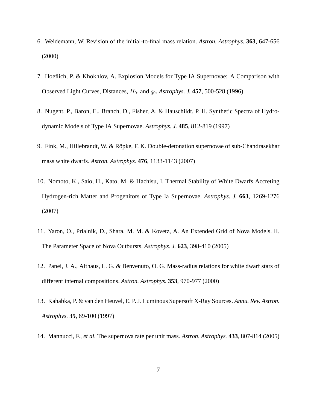- <span id="page-6-1"></span><span id="page-6-0"></span>6. Weidemann, W. Revision of the initial-to-final mass relation. *Astron. Astrophys.* **363**, 647-656 (2000)
- <span id="page-6-2"></span>7. Hoeflich, P. & Khokhlov, A. Explosion Models for Type IA Supernovae: A Comparison with Observed Light Curves, Distances,  $H_0$ , and  $q_0$ . *Astrophys. J.* **457**, 500-528 (1996)
- <span id="page-6-3"></span>8. Nugent, P., Baron, E., Branch, D., Fisher, A. & Hauschildt, P. H. Synthetic Spectra of Hydrodynamic Models of Type IA Supernovae. *Astrophys. J.* **485**, 812-819 (1997)
- <span id="page-6-4"></span>9. Fink, M., Hillebrandt, W. & Röpke, F. K. Double-detonation supernovae of sub-Chandrasekhar mass white dwarfs. *Astron. Astrophys.* **476**, 1133-1143 (2007)
- <span id="page-6-5"></span>10. Nomoto, K., Saio, H., Kato, M. & Hachisu, I. Thermal Stability of White Dwarfs Accreting Hydrogen-rich Matter and Progenitors of Type Ia Supernovae. *Astrophys. J.* **663**, 1269-1276 (2007)
- <span id="page-6-6"></span>11. Yaron, O., Prialnik, D., Shara, M. M. & Kovetz, A. An Extended Grid of Nova Models. II. The Parameter Space of Nova Outbursts. *Astrophys. J.* **623**, 398-410 (2005)
- <span id="page-6-7"></span>12. Panei, J. A., Althaus, L. G. & Benvenuto, O. G. Mass-radius relations for white dwarf stars of different internal compositions. *Astron. Astrophys.* **353**, 970-977 (2000)
- <span id="page-6-8"></span>13. Kahabka, P. & van den Heuvel, E. P. J. Luminous Supersoft X-Ray Sources. *Annu. Rev. Astron. Astrophys.* **35**, 69-100 (1997)
- 14. Mannucci, F., *et al.* The supernova rate per unit mass. *Astron. Astrophys.* **433**, 807-814 (2005)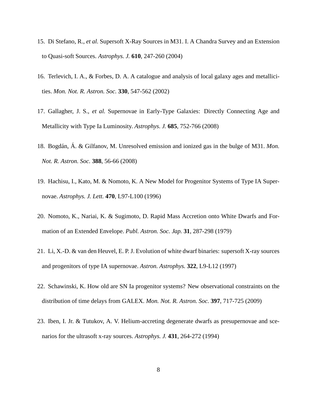- <span id="page-7-1"></span><span id="page-7-0"></span>15. Di Stefano, R., *et al.* Supersoft X-Ray Sources in M31. I. A Chandra Survey and an Extension to Quasi-soft Sources. *Astrophys. J.* **610**, 247-260 (2004)
- <span id="page-7-2"></span>16. Terlevich, I. A., & Forbes, D. A. A catalogue and analysis of local galaxy ages and metallicities. *Mon. Not. R. Astron. Soc.* **330**, 547-562 (2002)
- <span id="page-7-3"></span>17. Gallagher, J. S., *et al.* Supernovae in Early-Type Galaxies: Directly Connecting Age and Metallicity with Type Ia Luminosity. *Astrophys. J.* **685**, 752-766 (2008)
- <span id="page-7-4"></span>18. Bogdán, Á. & Gilfanov, M. Unresolved emission and ionized gas in the bulge of M31. *Mon. Not. R. Astron. Soc.* **388**, 56-66 (2008)
- <span id="page-7-5"></span>19. Hachisu, I., Kato, M. & Nomoto, K. A New Model for Progenitor Systems of Type IA Supernovae. *Astrophys. J. Lett.* **470**, L97-L100 (1996)
- <span id="page-7-6"></span>20. Nomoto, K., Nariai, K. & Sugimoto, D. Rapid Mass Accretion onto White Dwarfs and Formation of an Extended Envelope. *Publ. Astron. Soc. Jap.* **31**, 287-298 (1979)
- <span id="page-7-7"></span>21. Li, X.-D. & van den Heuvel, E. P. J. Evolution of white dwarf binaries: supersoft X-ray sources and progenitors of type IA supernovae. *Astron. Astrophys.* **322**, L9-L12 (1997)
- <span id="page-7-8"></span>22. Schawinski, K. How old are SN Ia progenitor systems? New observational constraints on the distribution of time delays from GALEX. *Mon. Not. R. Astron. Soc.* **397**, 717-725 (2009)
- 23. Iben, I. Jr. & Tutukov, A. V. Helium-accreting degenerate dwarfs as presupernovae and scenarios for the ultrasoft x-ray sources. *Astrophys. J.* **431**, 264-272 (1994)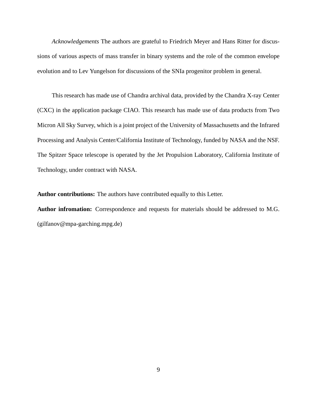*Acknowledgements* The authors are grateful to Friedrich Meyer and Hans Ritter for discussions of various aspects of mass transfer in binary systems and the role of the common envelope evolution and to Lev Yungelson for discussions of the SNIa progenitor problem in general.

This research has made use of Chandra archival data, provided by the Chandra X-ray Center (CXC) in the application package CIAO. This research has made use of data products from Two Micron All Sky Survey, which is a joint project of the University of Massachusetts and the Infrared Processing and Analysis Center/California Institute of Technology, funded by NASA and the NSF. The Spitzer Space telescope is operated by the Jet Propulsion Laboratory, California Institute of Technology, under contract with NASA.

**Author contributions:** The authors have contributed equally to this Letter.

**Author infromation:** Correspondence and requests for materials should be addressed to M.G. (gilfanov@mpa-garching.mpg.de)